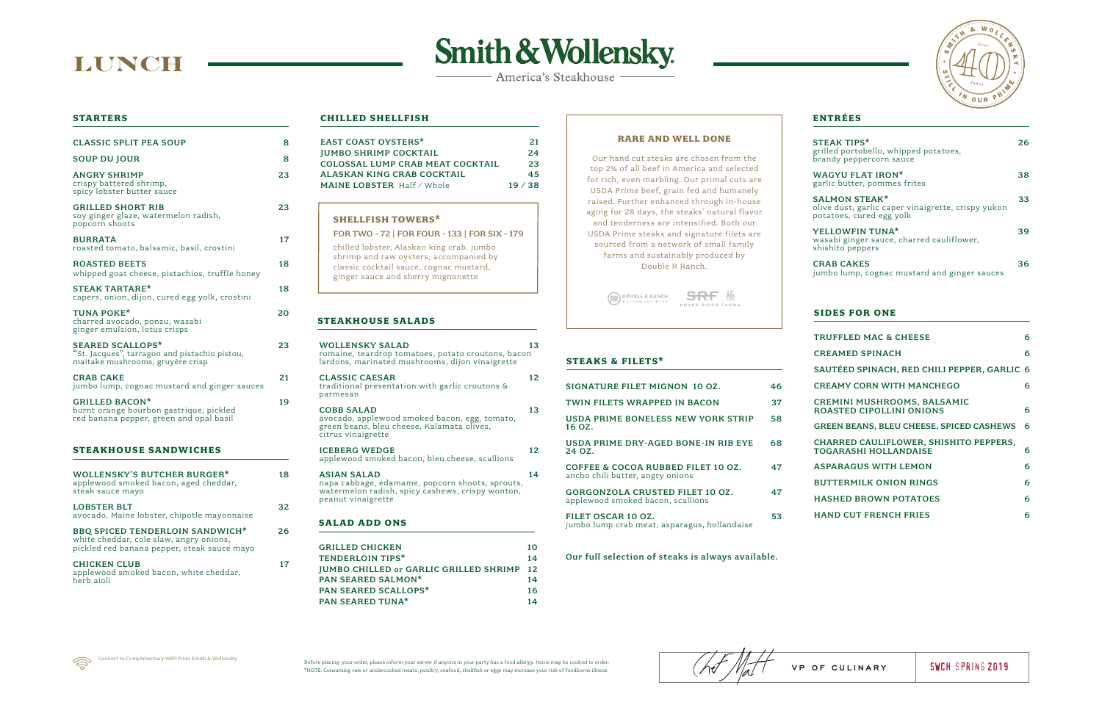# **LUNCH**

# **Smith & Wollensky**

- America's Steakhouse

#### **STEAKHOUSE SALADS**

| SIGNATURE FILET MIGNON 10 OZ.                                                     | 46 |
|-----------------------------------------------------------------------------------|----|
| TWIN FILETS WRAPPED IN BACON                                                      | 37 |
| USDA PRIME BONELESS NEW YORK STRIP<br>16 OZ.                                      | 58 |
| USDA PRIME DRY-AGED BONE-IN RIB EYE<br>24 OZ.                                     | 68 |
| <b>COFFEE &amp; COCOA RUBBED FILET 10 OZ.</b><br>ancho chili butter, angry onions | 47 |
| <b>GORGONZOLA CRUSTED FILET 10 OZ.</b><br>applewood smoked bacon, scallions       | 47 |
| FILET OSCAR 10 OZ.<br>jumbo lump crab meat, asparagus, hollandaise                | 53 |

#### Our full selection of steaks is always available.



#### **STEAKS & FILETS\***

| WOLLENSKY SALAD<br>romaine, teardrop tomatoes, potato croutons, bacon<br>lardons, marinated mushrooms, dijon vinaigrette                        |  |
|-------------------------------------------------------------------------------------------------------------------------------------------------|--|
| <b>CLASSIC CAESAR</b><br>traditional presentation with garlic croutons &<br>parmesan                                                            |  |
| <b>COBB SALAD</b><br>avocado, applewood smoked bacon, egg, tomato,<br>green beans, bleu cheese, Kalamata olives,<br>citrus vinaigrette          |  |
| <b>ICEBERG WEDGE</b><br>applewood smoked bacon, bleu cheese, scallions                                                                          |  |
| <b>ASIAN SALAD</b><br>napa cabbage, edamame, popcorn shoots, sprouts,<br>watermelon radish, spicy cashews, crispy wonton,<br>peanut vinaigrette |  |
| <b>SALAD ADD ONS</b>                                                                                                                            |  |
| <b>GRILLED CHICKEN</b>                                                                                                                          |  |
| <b>TENDERLOIN TIPS*</b>                                                                                                                         |  |
| <b>JUMBO CHILLED or GARLIC GRILLED SHRIMP</b>                                                                                                   |  |

PAN SEARED SALMON\* 14 PAN SEARED SCALLOPS<sup>\*</sup> 16 PAN SEARED TUNA\* 14

| <b>STEAK TIPS*</b><br>grilled portobello, whipped potatoes,<br>brandy peppercorn sauce                 | 26. |
|--------------------------------------------------------------------------------------------------------|-----|
| <b>WAGYU FLAT IRON*</b><br>garlic butter, pommes frites                                                | 38. |
| <b>SALMON STEAK*</b><br>olive dust, garlic caper vinaigrette, crispy yukon<br>potatoes, cured egg yolk | 33  |
| YELLOWFIN TUNA*<br>wasabi ginger sauce, charred cauliflower,<br>shishito peppers                       | 39  |
| <b>CRAB CAKES</b><br>jumbo lump, cognac mustard and ginger sauces                                      | 36. |

### **ENTRÉES**

#### **SIDES FOR ONE**

| <b>TRUFFLED MAC &amp; CHEESE</b>                                              | 6 |
|-------------------------------------------------------------------------------|---|
| <b>CREAMED SPINACH</b>                                                        | 6 |
| SAUTÉED SPINACH, RED CHILI PEPPER, GARLIC 6                                   |   |
| <b>CREAMY CORN WITH MANCHEGO</b>                                              | 6 |
| CREMINI MUSHROOMS, BALSAMIC<br><b>ROASTED CIPOLLINI ONIONS</b>                | 6 |
| <b>GREEN BEANS, BLEU CHEESE, SPICED CASHEWS</b>                               | 6 |
| <b>CHARRED CAULIFLOWER, SHISHITO PEPPERS,</b><br><b>TOGARASHI HOLLANDAISE</b> | 6 |
| <b>ASPARAGUS WITH LEMON</b>                                                   | 6 |
| <b>BUTTERMILK ONION RINGS</b>                                                 | 6 |
| <b>HASHED BROWN POTATOES</b>                                                  | 6 |
| <b>HAND CUT FRENCH FRIES</b>                                                  | 6 |

Before placing your order, please inform your server if anyone in your party has a food allergy. Items may be cooked to order. \*NOTE: Consuming raw or undercooked meats, poultry, seafood, shellfish or eggs may increase your risk of foodborne illness.



| <b>CLASSIC SPLIT PEA SOUP</b>                                                                                                    | 8  |
|----------------------------------------------------------------------------------------------------------------------------------|----|
| <b>SOUP DU JOUR</b>                                                                                                              | 8  |
| <b>ANGRY SHRIMP</b><br>crispy battered shrimp,<br>spicy lobster butter sauce                                                     | 23 |
| <b>GRILLED SHORT RIB</b><br>soy ginger glaze, watermelon radish,<br>popcorn shoots                                               | 23 |
| <b>BURRATA</b><br>roasted tomato, balsamic, basil, crostini                                                                      | 17 |
| <b>ROASTED BEETS</b><br>whipped goat cheese, pistachios, truffle honey                                                           | 18 |
| <b>STEAK TARTARE*</b><br>capers, onion, dijon, cured egg yolk, crostini                                                          | 18 |
| <b>TUNA POKE*</b><br>charred avocado, ponzu, wasabi<br>ginger emulsion, lotus crisps                                             | 20 |
| <b>SEARED SCALLOPS*</b><br>'St. Jacques", tarragon and pistachio pistou,<br>maitake mushrooms, gruyère crisp                     | 23 |
| <b>CRAB CAKE</b><br>jumbo lump, cognac mustard and ginger sauces                                                                 | 21 |
| <b>GRILLED BACON*</b><br>burnt orange bourbon gastrique, pickled<br>red banana pepper, green and opal basil                      | 19 |
| STEAKHOUSE SANDWICHES                                                                                                            |    |
| WOLLENSKY'S BUTCHER BURGER*<br>applewood smoked bacon, aged cheddar,<br>steak sauce mayo                                         | 18 |
| <b>LOBSTER BLT</b><br>avocado, Maine lobster, chipotle mayonnaise                                                                | 32 |
| <b>BBQ SPICED TENDERLOIN SANDWICH*</b><br>white cheddar, cole slaw, angry onions,<br>pickled red banana pepper, steak sauce mayo | 26 |
| <b>CHICKEN CLUB</b><br>applewood smoked bacon, white cheddar,<br>herb aioli                                                      | 17 |
|                                                                                                                                  |    |

## **RARE AND WELL DONE**

Our hand cut steaks are chosen from the top 2% of all beef in America and selected for rich, even marbling. Our primal cuts are USDA Prime beef, grain fed and humanely raised. Further enhanced through in-house aging for 28 days, the steaks' natural flavor and tenderness are intensified. Both our USDA Prime steaks and signature filets are sourced from a network of small family farms and sustainably produced by Double R Ranch.



#### **STARTERS**

| <b>EAST COAST OYSTERS*</b>       | 21    |
|----------------------------------|-------|
| <b>JUMBO SHRIMP COCKTAIL</b>     | 24    |
| COLOSSAL LUMP CRAB MEAT COCKTAIL | 23.   |
| ALASKAN KING CRAB COCKTAIL       | 45    |
| MAINE LOBSTER Half / Whole       | 19/38 |
|                                  |       |

#### **CHILLED SHELLFISH**

### **SHELLFISH TOWERS\***

FOR TWO - 72 | FOR FOUR - 133 | FOR SIX - 179 chilled lobster, Alaskan king crab, jumbo shrimp and raw oysters, accompanied by classic cocktail sauce, cognac mustard, ginger sauce and sherry mignonette